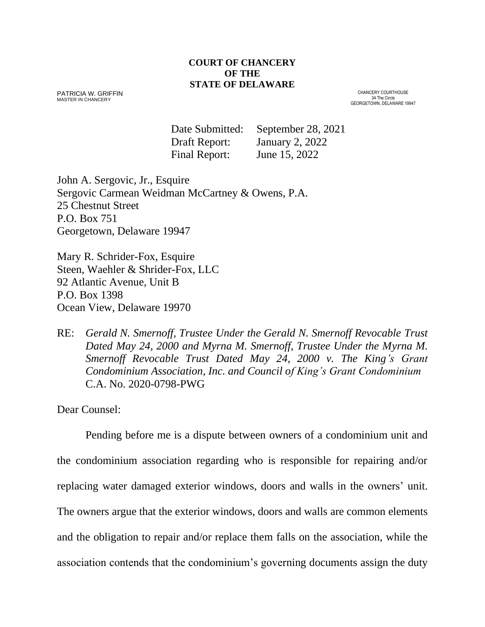#### **COURT OF CHANCERY OF THE STATE OF DELAWARE**

PATRICIA W. GRIFFIN MASTER IN CHANCERY

CHANCERY COURTHOUSE 34 The Circle GEORGETOWN, DELAWARE 19947

Date Submitted: September 28, 2021 Draft Report: January 2, 2022 Final Report: June 15, 2022

John A. Sergovic, Jr., Esquire Sergovic Carmean Weidman McCartney & Owens, P.A. 25 Chestnut Street P.O. Box 751 Georgetown, Delaware 19947

Mary R. Schrider-Fox, Esquire Steen, Waehler & Shrider-Fox, LLC 92 Atlantic Avenue, Unit B P.O. Box 1398 Ocean View, Delaware 19970

RE: *Gerald N. Smernoff, Trustee Under the Gerald N. Smernoff Revocable Trust Dated May 24, 2000 and Myrna M. Smernoff, Trustee Under the Myrna M. Smernoff Revocable Trust Dated May 24, 2000 v. The King's Grant Condominium Association, Inc. and Council of King's Grant Condominium* C.A. No. 2020-0798-PWG

Dear Counsel:

Pending before me is a dispute between owners of a condominium unit and the condominium association regarding who is responsible for repairing and/or replacing water damaged exterior windows, doors and walls in the owners' unit. The owners argue that the exterior windows, doors and walls are common elements and the obligation to repair and/or replace them falls on the association, while the association contends that the condominium's governing documents assign the duty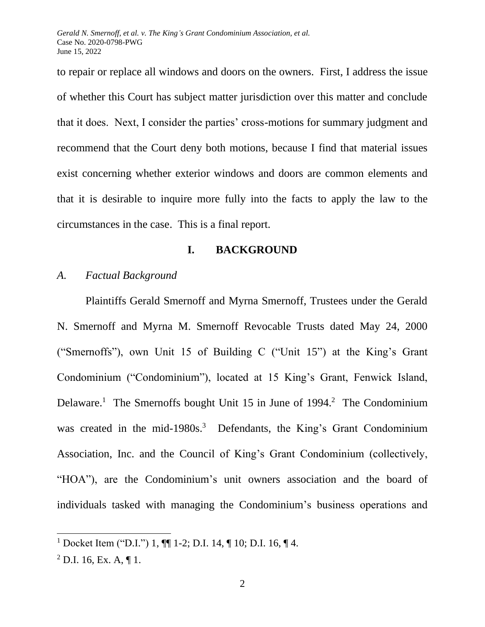to repair or replace all windows and doors on the owners. First, I address the issue of whether this Court has subject matter jurisdiction over this matter and conclude that it does. Next, I consider the parties' cross-motions for summary judgment and recommend that the Court deny both motions, because I find that material issues exist concerning whether exterior windows and doors are common elements and that it is desirable to inquire more fully into the facts to apply the law to the circumstances in the case. This is a final report.

### **I. BACKGROUND**

### *A. Factual Background*

Plaintiffs Gerald Smernoff and Myrna Smernoff, Trustees under the Gerald N. Smernoff and Myrna M. Smernoff Revocable Trusts dated May 24, 2000 ("Smernoffs"), own Unit 15 of Building C ("Unit 15") at the King's Grant Condominium ("Condominium"), located at 15 King's Grant, Fenwick Island, Delaware.<sup>1</sup> The Smernoffs bought Unit 15 in June of 1994.<sup>2</sup> The Condominium was created in the mid-1980s.<sup>3</sup> Defendants, the King's Grant Condominium Association, Inc. and the Council of King's Grant Condominium (collectively, "HOA"), are the Condominium's unit owners association and the board of individuals tasked with managing the Condominium's business operations and

<sup>1</sup> Docket Item ("D.I.") 1, ¶¶ 1-2; D.I. 14, ¶ 10; D.I. 16, ¶ 4.

 $^{2}$  D.I. 16, Ex. A, ¶ 1.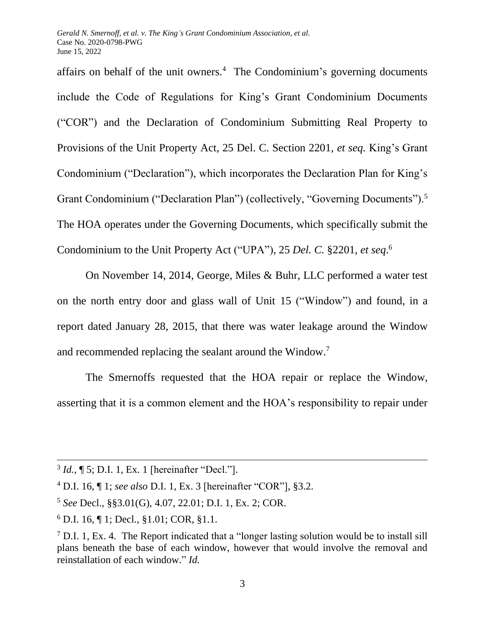affairs on behalf of the unit owners.<sup>4</sup> The Condominium's governing documents include the Code of Regulations for King's Grant Condominium Documents ("COR") and the Declaration of Condominium Submitting Real Property to Provisions of the Unit Property Act, 25 Del. C. Section 2201, *et seq.* King's Grant Condominium ("Declaration"), which incorporates the Declaration Plan for King's Grant Condominium ("Declaration Plan") (collectively, "Governing Documents").<sup>5</sup> The HOA operates under the Governing Documents, which specifically submit the Condominium to the Unit Property Act ("UPA"), 25 *Del. C.* §2201, *et seq*. 6

On November 14, 2014, George, Miles & Buhr, LLC performed a water test on the north entry door and glass wall of Unit 15 ("Window") and found, in a report dated January 28, 2015, that there was water leakage around the Window and recommended replacing the sealant around the Window.<sup>7</sup>

The Smernoffs requested that the HOA repair or replace the Window, asserting that it is a common element and the HOA's responsibility to repair under

<sup>3</sup> *Id.*, ¶ 5; D.I. 1, Ex. 1 [hereinafter "Decl."].

<sup>4</sup> D.I. 16, ¶ 1; *see also* D.I. 1, Ex. 3 [hereinafter "COR"], §3.2.

<sup>5</sup> *See* Decl., §§3.01(G), 4.07, 22.01; D.I. 1, Ex. 2; COR.

<sup>6</sup> D.I. 16, ¶ 1; Decl., §1.01; COR, §1.1.

<sup>&</sup>lt;sup>7</sup> D.I. 1, Ex. 4. The Report indicated that a "longer lasting solution would be to install sill plans beneath the base of each window, however that would involve the removal and reinstallation of each window." *Id.*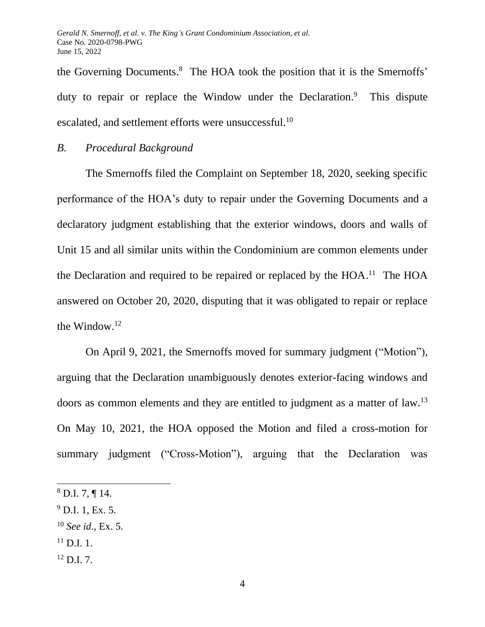the Governing Documents. 8 The HOA took the position that it is the Smernoffs' duty to repair or replace the Window under the Declaration.<sup>9</sup> This dispute escalated, and settlement efforts were unsuccessful.<sup>10</sup>

#### *B. Procedural Background*

The Smernoffs filed the Complaint on September 18, 2020, seeking specific performance of the HOA's duty to repair under the Governing Documents and a declaratory judgment establishing that the exterior windows, doors and walls of Unit 15 and all similar units within the Condominium are common elements under the Declaration and required to be repaired or replaced by the  $HOA$ <sup>11</sup>. The  $HOA$ answered on October 20, 2020, disputing that it was obligated to repair or replace the Window.<sup>12</sup>

On April 9, 2021, the Smernoffs moved for summary judgment ("Motion"), arguing that the Declaration unambiguously denotes exterior-facing windows and doors as common elements and they are entitled to judgment as a matter of law.<sup>13</sup> On May 10, 2021, the HOA opposed the Motion and filed a cross-motion for summary judgment ("Cross-Motion"), arguing that the Declaration was

- $^{9}$  D.I. 1, Ex. 5.
- <sup>10</sup> *See id*., Ex. 5.
- $^{11}$  D.I. 1.
- $12$  D.I. 7.

 $8$  D.I. 7, ¶ 14.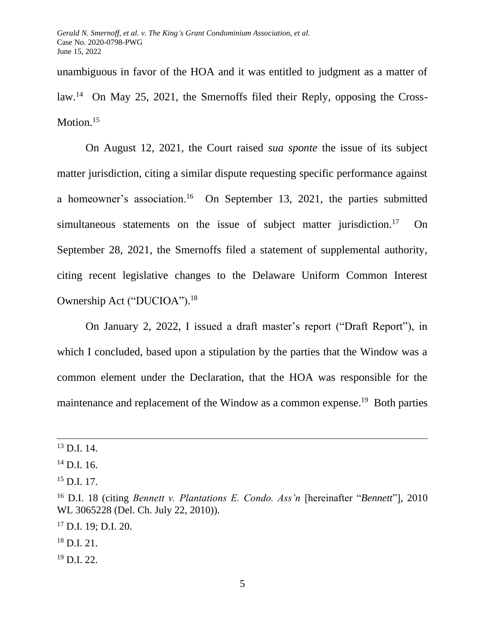unambiguous in favor of the HOA and it was entitled to judgment as a matter of law.<sup>14</sup> On May 25, 2021, the Smernoffs filed their Reply, opposing the Cross-Motion.<sup>15</sup>

On August 12, 2021, the Court raised *sua sponte* the issue of its subject matter jurisdiction, citing a similar dispute requesting specific performance against a homeowner's association.<sup>16</sup> On September 13, 2021, the parties submitted simultaneous statements on the issue of subject matter jurisdiction.<sup>17</sup> On September 28, 2021, the Smernoffs filed a statement of supplemental authority, citing recent legislative changes to the Delaware Uniform Common Interest Ownership Act ("DUCIOA"). 18

On January 2, 2022, I issued a draft master's report ("Draft Report"), in which I concluded, based upon a stipulation by the parties that the Window was a common element under the Declaration, that the HOA was responsible for the maintenance and replacement of the Window as a common expense.<sup>19</sup> Both parties

 $19$  D.I. 22.

 $^{13}$  D.I. 14.

 $^{14}$  D.I. 16.

 $^{15}$  D.I. 17.

<sup>16</sup> D.I. 18 (citing *Bennett v. Plantations E. Condo. Ass'n* [hereinafter "*Bennett*"], 2010 WL 3065228 (Del. Ch. July 22, 2010)).

<sup>17</sup> D.I. 19; D.I. 20.

 $^{18}$  D.I. 21.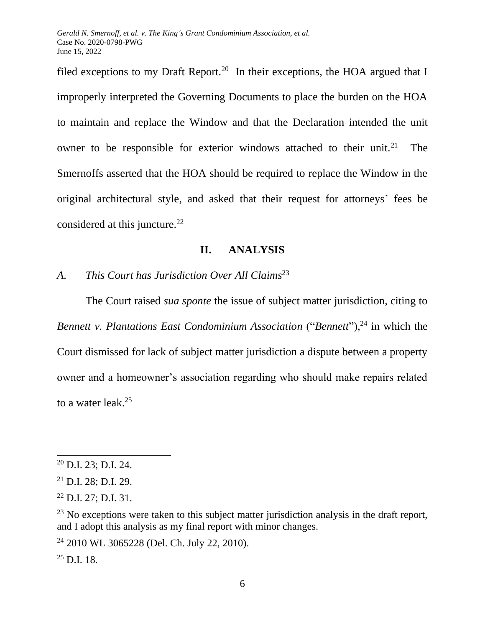filed exceptions to my Draft Report.<sup>20</sup> In their exceptions, the HOA argued that I improperly interpreted the Governing Documents to place the burden on the HOA to maintain and replace the Window and that the Declaration intended the unit owner to be responsible for exterior windows attached to their unit.<sup>21</sup> The Smernoffs asserted that the HOA should be required to replace the Window in the original architectural style, and asked that their request for attorneys' fees be considered at this juncture.<sup>22</sup>

## **II. ANALYSIS**

*A. This Court has Jurisdiction Over All Claims*<sup>23</sup>

The Court raised *sua sponte* the issue of subject matter jurisdiction, citing to *Bennett v. Plantations East Condominium Association* ("*Bennett*"), <sup>24</sup> in which the Court dismissed for lack of subject matter jurisdiction a dispute between a property owner and a homeowner's association regarding who should make repairs related to a water leak.<sup>25</sup>

<sup>20</sup> D.I. 23; D.I. 24.

 $21$  D.I. 28; D.I. 29.

 $22$  D.I. 27; D.I. 31.

 $23$  No exceptions were taken to this subject matter jurisdiction analysis in the draft report, and I adopt this analysis as my final report with minor changes.

<sup>24</sup> 2010 WL 3065228 (Del. Ch. July 22, 2010).

 $^{25}$  D.I. 18.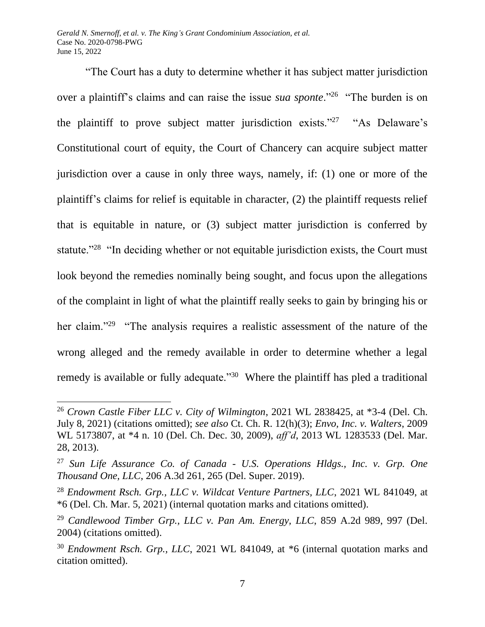"The Court has a duty to determine whether it has subject matter jurisdiction over a plaintiff's claims and can raise the issue *sua sponte*."<sup>26</sup> "The burden is on the plaintiff to prove subject matter jurisdiction exists."<sup>27</sup> "As Delaware's Constitutional court of equity, the Court of Chancery can acquire subject matter jurisdiction over a cause in only three ways, namely, if: (1) one or more of the plaintiff's claims for relief is equitable in character, (2) the plaintiff requests relief that is equitable in nature, or (3) subject matter jurisdiction is conferred by statute."<sup>28</sup> "In deciding whether or not equitable jurisdiction exists, the Court must look beyond the remedies nominally being sought, and focus upon the allegations of the complaint in light of what the plaintiff really seeks to gain by bringing his or her claim."<sup>29</sup> "The analysis requires a realistic assessment of the nature of the wrong alleged and the remedy available in order to determine whether a legal remedy is available or fully adequate."<sup>30</sup> Where the plaintiff has pled a traditional

<sup>26</sup> *Crown Castle Fiber LLC v. City of Wilmington*, 2021 WL 2838425, at \*3-4 (Del. Ch. July 8, 2021) (citations omitted); *see also* Ct. Ch. R. 12(h)(3); *Envo, Inc. v. Walters*, 2009 WL 5173807, at \*4 n. 10 (Del. Ch. Dec. 30, 2009), *aff'd*, 2013 WL 1283533 (Del. Mar. 28, 2013).

<sup>27</sup> *Sun Life Assurance Co. of Canada - U.S. Operations Hldgs., Inc. v. Grp. One Thousand One, LLC*, 206 A.3d 261, 265 (Del. Super. 2019).

<sup>28</sup> *Endowment Rsch. Grp., LLC v. Wildcat Venture Partners, LLC*, 2021 WL 841049, at \*6 (Del. Ch. Mar. 5, 2021) (internal quotation marks and citations omitted).

<sup>29</sup> *Candlewood Timber Grp., LLC v. Pan Am. Energy, LLC*, 859 A.2d 989, 997 (Del. 2004) (citations omitted).

<sup>30</sup> *Endowment Rsch. Grp., LLC*, 2021 WL 841049, at \*6 (internal quotation marks and citation omitted).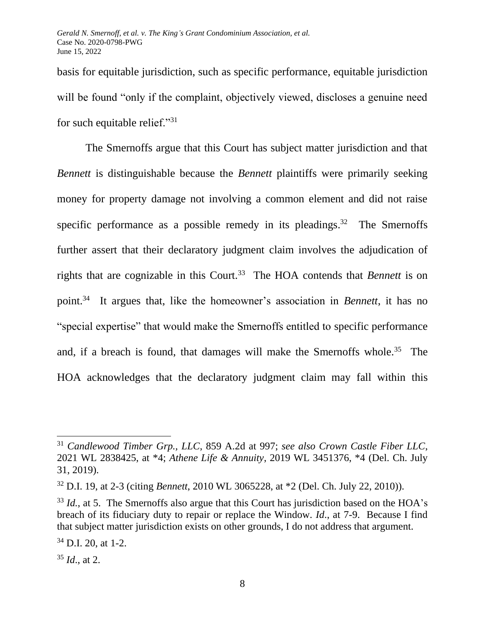basis for equitable jurisdiction, such as specific performance, equitable jurisdiction will be found "only if the complaint, objectively viewed, discloses a genuine need for such equitable relief."<sup>31</sup>

The Smernoffs argue that this Court has subject matter jurisdiction and that *Bennett* is distinguishable because the *Bennett* plaintiffs were primarily seeking money for property damage not involving a common element and did not raise specific performance as a possible remedy in its pleadings.<sup>32</sup> The Smernoffs further assert that their declaratory judgment claim involves the adjudication of rights that are cognizable in this Court.<sup>33</sup> The HOA contends that *Bennett* is on point.<sup>34</sup> It argues that, like the homeowner's association in *Bennett*, it has no "special expertise" that would make the Smernoffs entitled to specific performance and, if a breach is found, that damages will make the Smernoffs whole.<sup>35</sup> The HOA acknowledges that the declaratory judgment claim may fall within this

<sup>31</sup> *Candlewood Timber Grp., LLC*, 859 A.2d at 997; *see also Crown Castle Fiber LLC*, 2021 WL 2838425, at \*4; *Athene Life & Annuity*, 2019 WL 3451376, \*4 (Del. Ch. July 31, 2019).

<sup>32</sup> D.I. 19, at 2-3 (citing *Bennett*, 2010 WL 3065228, at \*2 (Del. Ch. July 22, 2010)).

<sup>&</sup>lt;sup>33</sup> *Id.*, at 5. The Smernoffs also argue that this Court has jurisdiction based on the HOA's breach of its fiduciary duty to repair or replace the Window. *Id*., at 7-9. Because I find that subject matter jurisdiction exists on other grounds, I do not address that argument.

 $34$  D.I. 20, at 1-2.

<sup>35</sup> *Id*., at 2.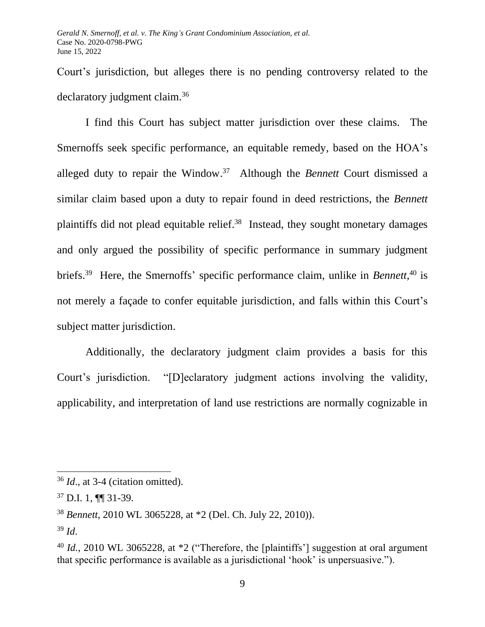Court's jurisdiction, but alleges there is no pending controversy related to the declaratory judgment claim.<sup>36</sup>

I find this Court has subject matter jurisdiction over these claims. The Smernoffs seek specific performance, an equitable remedy, based on the HOA's alleged duty to repair the Window. <sup>37</sup> Although the *Bennett* Court dismissed a similar claim based upon a duty to repair found in deed restrictions, the *Bennett* plaintiffs did not plead equitable relief.<sup>38</sup> Instead, they sought monetary damages and only argued the possibility of specific performance in summary judgment briefs.<sup>39</sup> Here, the Smernoffs' specific performance claim, unlike in *Bennett*, <sup>40</sup> is not merely a façade to confer equitable jurisdiction, and falls within this Court's subject matter jurisdiction.

Additionally, the declaratory judgment claim provides a basis for this Court's jurisdiction. "[D]eclaratory judgment actions involving the validity, applicability, and interpretation of land use restrictions are normally cognizable in

<sup>36</sup> *Id*., at 3-4 (citation omitted).

 $37$  D.I. 1, **[[**] 31-39.

<sup>38</sup> *Bennett*, 2010 WL 3065228, at \*2 (Del. Ch. July 22, 2010)).

<sup>39</sup> *Id*.

<sup>&</sup>lt;sup>40</sup> *Id.*, 2010 WL 3065228, at  $*2$  ("Therefore, the [plaintiffs'] suggestion at oral argument that specific performance is available as a jurisdictional 'hook' is unpersuasive.").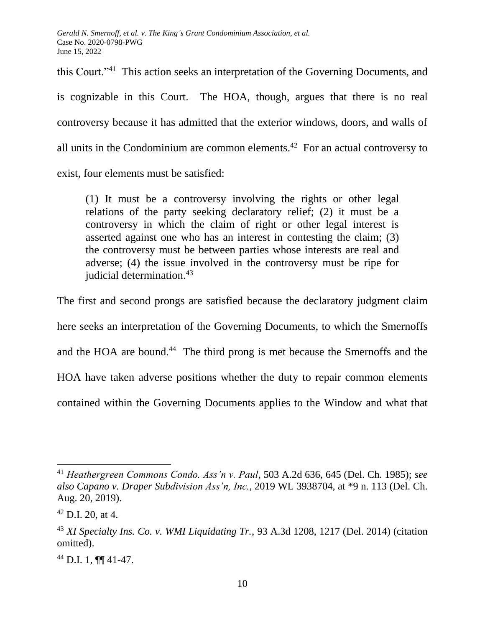this Court."<sup>41</sup> This action seeks an interpretation of the Governing Documents, and is cognizable in this Court. The HOA, though, argues that there is no real controversy because it has admitted that the exterior windows, doors, and walls of all units in the Condominium are common elements.<sup>42</sup> For an actual controversy to exist, four elements must be satisfied:

(1) It must be a controversy involving the rights or other legal relations of the party seeking declaratory relief; (2) it must be a controversy in which the claim of right or other legal interest is asserted against one who has an interest in contesting the claim; (3) the controversy must be between parties whose interests are real and adverse; (4) the issue involved in the controversy must be ripe for judicial determination.<sup>43</sup>

The first and second prongs are satisfied because the declaratory judgment claim here seeks an interpretation of the Governing Documents, to which the Smernoffs and the HOA are bound.<sup>44</sup> The third prong is met because the Smernoffs and the HOA have taken adverse positions whether the duty to repair common elements contained within the Governing Documents applies to the Window and what that

<sup>44</sup> D.I. 1, ¶¶ 41-47.

<sup>41</sup> *Heathergreen Commons Condo. Ass'n v. Paul*, 503 A.2d 636, 645 (Del. Ch. 1985); *see also Capano v. Draper Subdivision Ass'n, Inc.*, 2019 WL 3938704, at \*9 n. 113 (Del. Ch. Aug. 20, 2019).

 $42$  D.I. 20, at 4.

<sup>43</sup> *XI Specialty Ins. Co. v. WMI Liquidating Tr.*, 93 A.3d 1208, 1217 (Del. 2014) (citation omitted).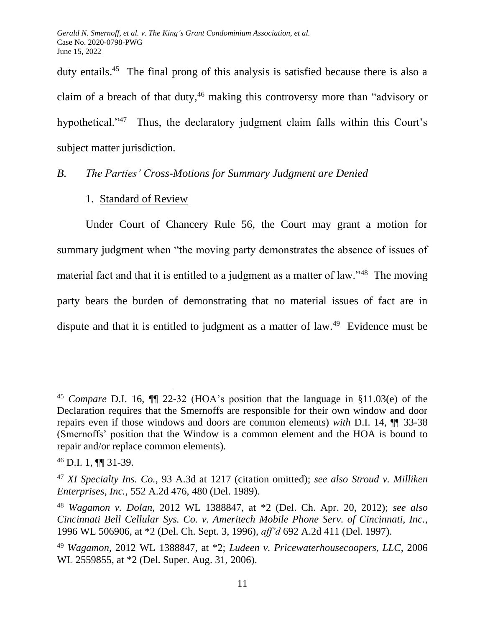duty entails.<sup>45</sup> The final prong of this analysis is satisfied because there is also a claim of a breach of that duty, $46$  making this controversy more than "advisory or hypothetical."<sup>47</sup> Thus, the declaratory judgment claim falls within this Court's subject matter jurisdiction.

## *B. The Parties' Cross-Motions for Summary Judgment are Denied*

## 1. Standard of Review

Under Court of Chancery Rule 56, the Court may grant a motion for summary judgment when "the moving party demonstrates the absence of issues of material fact and that it is entitled to a judgment as a matter of law."<sup>48</sup> The moving party bears the burden of demonstrating that no material issues of fact are in dispute and that it is entitled to judgment as a matter of law.<sup>49</sup> Evidence must be

<sup>45</sup> *Compare* D.I. 16, ¶¶ 22-32 (HOA's position that the language in §11.03(e) of the Declaration requires that the Smernoffs are responsible for their own window and door repairs even if those windows and doors are common elements) *with* D.I. 14, ¶¶ 33-38 (Smernoffs' position that the Window is a common element and the HOA is bound to repair and/or replace common elements).

<sup>46</sup> D.I. 1, ¶¶ 31-39.

<sup>47</sup> *XI Specialty Ins. Co.*, 93 A.3d at 1217 (citation omitted); *see also Stroud v. Milliken Enterprises, Inc.*, 552 A.2d 476, 480 (Del. 1989).

<sup>48</sup> *Wagamon v. Dolan*, 2012 WL 1388847, at \*2 (Del. Ch. Apr. 20, 2012); *see also Cincinnati Bell Cellular Sys. Co. v. Ameritech Mobile Phone Serv. of Cincinnati, Inc.*, 1996 WL 506906, at \*2 (Del. Ch. Sept. 3, 1996), *aff'd* 692 A.2d 411 (Del. 1997).

<sup>49</sup> *Wagamon*, 2012 WL 1388847, at \*2; *Ludeen v. Pricewaterhousecoopers, LLC*, 2006 WL 2559855, at \*2 (Del. Super. Aug. 31, 2006).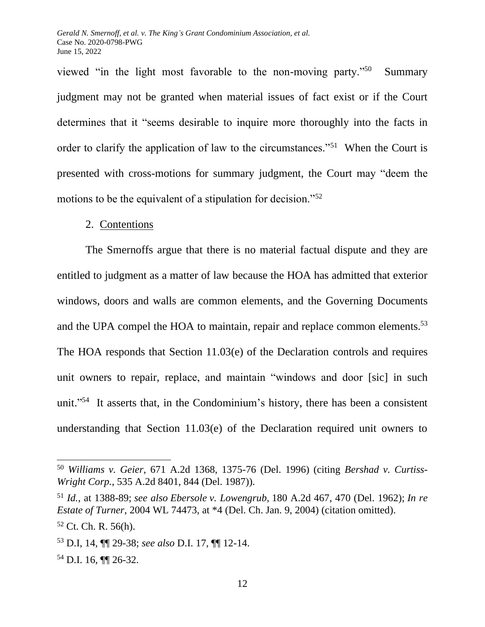viewed "in the light most favorable to the non-moving party."<sup>50</sup> Summary judgment may not be granted when material issues of fact exist or if the Court determines that it "seems desirable to inquire more thoroughly into the facts in order to clarify the application of law to the circumstances."<sup>51</sup> When the Court is presented with cross-motions for summary judgment, the Court may "deem the motions to be the equivalent of a stipulation for decision."<sup>52</sup>

#### 2. Contentions

The Smernoffs argue that there is no material factual dispute and they are entitled to judgment as a matter of law because the HOA has admitted that exterior windows, doors and walls are common elements, and the Governing Documents and the UPA compel the HOA to maintain, repair and replace common elements.<sup>53</sup>

The HOA responds that Section 11.03(e) of the Declaration controls and requires unit owners to repair, replace, and maintain "windows and door [sic] in such unit." 54 It asserts that, in the Condominium's history, there has been a consistent understanding that Section 11.03(e) of the Declaration required unit owners to

<sup>50</sup> *Williams v. Geier*, 671 A.2d 1368, 1375-76 (Del. 1996) (citing *Bershad v. Curtiss-Wright Corp.*, 535 A.2d 8401, 844 (Del. 1987)).

<sup>51</sup> *Id.*, at 1388-89; *see also Ebersole v. Lowengrub,* 180 A.2d 467, 470 (Del. 1962); *In re Estate of Turner*, 2004 WL 74473, at \*4 (Del. Ch. Jan. 9, 2004) (citation omitted).

 $52$  Ct. Ch. R. 56(h).

<sup>53</sup> D.I, 14, ¶¶ 29-38; *see also* D.I. 17, ¶¶ 12-14.

<sup>54</sup> D.I. 16, ¶¶ 26-32.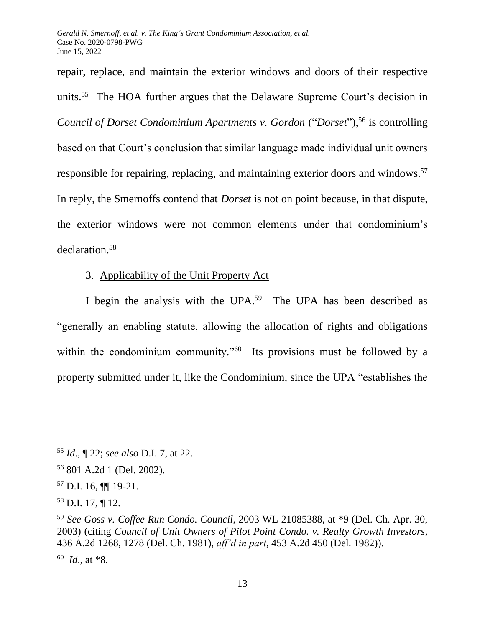repair, replace, and maintain the exterior windows and doors of their respective units.<sup>55</sup> The HOA further argues that the Delaware Supreme Court's decision in *Council of Dorset Condominium Apartments v. Gordon* ("*Dorset*"),<sup>56</sup> is controlling based on that Court's conclusion that similar language made individual unit owners responsible for repairing, replacing, and maintaining exterior doors and windows.<sup>57</sup> In reply, the Smernoffs contend that *Dorset* is not on point because, in that dispute, the exterior windows were not common elements under that condominium's declaration.<sup>58</sup>

# 3. Applicability of the Unit Property Act

I begin the analysis with the UPA.<sup>59</sup> The UPA has been described as "generally an enabling statute, allowing the allocation of rights and obligations within the condominium community."<sup>60</sup> Its provisions must be followed by a property submitted under it, like the Condominium, since the UPA "establishes the

<sup>55</sup> *Id*., ¶ 22; *see also* D.I. 7, at 22.

<sup>56</sup> 801 A.2d 1 (Del. 2002).

<sup>57</sup> D.I. 16, ¶¶ 19-21.

<sup>58</sup> D.I. 17, ¶ 12.

<sup>59</sup> *See Goss v. Coffee Run Condo. Council*, 2003 WL 21085388, at \*9 (Del. Ch. Apr. 30, 2003) (citing *Council of Unit Owners of Pilot Point Condo. v. Realty Growth Investors*, 436 A.2d 1268, 1278 (Del. Ch. 1981), *aff'd in part*, 453 A.2d 450 (Del. 1982)).

<sup>60</sup> *Id*., at \*8.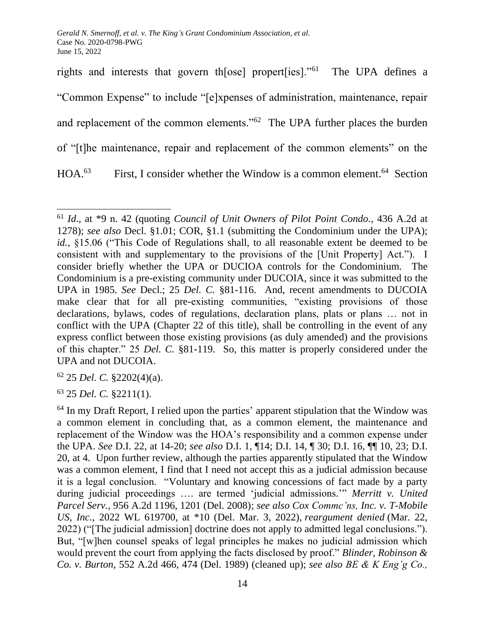rights and interests that govern th[ose] propert[ies]."<sup>61</sup> The UPA defines a "Common Expense" to include "[e]xpenses of administration, maintenance, repair and replacement of the common elements."<sup>62</sup> The UPA further places the burden of "[t]he maintenance, repair and replacement of the common elements" on the  $HOA.<sup>63</sup>$ First, I consider whether the Window is a common element.<sup>64</sup> Section

<sup>62</sup> 25 *Del. C.* §2202(4)(a).

<sup>63</sup> 25 *Del. C.* §2211(1).

<sup>61</sup> *Id*., at \*9 n. 42 (quoting *Council of Unit Owners of Pilot Point Condo.*, 436 A.2d at 1278); *see also* Decl. §1.01; COR, §1.1 (submitting the Condominium under the UPA); id., §15.06 ("This Code of Regulations shall, to all reasonable extent be deemed to be consistent with and supplementary to the provisions of the [Unit Property] Act."). I consider briefly whether the UPA or DUCIOA controls for the Condominium. The Condominium is a pre-existing community under DUCOIA, since it was submitted to the UPA in 1985. *See* Decl.; 25 *Del. C.* §81-116. And, recent amendments to DUCOIA make clear that for all pre-existing communities, "existing provisions of those declarations, bylaws, codes of regulations, declaration plans, plats or plans … not in conflict with the UPA (Chapter 22 of this title), shall be controlling in the event of any express conflict between those existing provisions (as duly amended) and the provisions of this chapter." 25 *Del. C.* §81-119. So, this matter is properly considered under the UPA and not DUCOIA.

 $64$  In my Draft Report, I relied upon the parties' apparent stipulation that the Window was a common element in concluding that, as a common element, the maintenance and replacement of the Window was the HOA's responsibility and a common expense under the UPA. *See* D.I. 22, at 14-20; *see also* D.I. 1, ¶14; D.I. 14, ¶ 30; D.I. 16, ¶¶ 10, 23; D.I. 20, at 4. Upon further review, although the parties apparently stipulated that the Window was a common element, I find that I need not accept this as a judicial admission because it is a legal conclusion. "Voluntary and knowing concessions of fact made by a party during judicial proceedings …. are termed 'judicial admissions.'" *Merritt v. United Parcel Serv.*, 956 A.2d 1196, 1201 (Del. 2008); *see also Cox Commc'ns, Inc. v. T-Mobile US, Inc.*, 2022 WL 619700, at \*10 (Del. Mar. 3, 2022), *reargument denied* (Mar. 22, 2022) ("[The judicial admission] doctrine does not apply to admitted legal conclusions."). But, "[w]hen counsel speaks of legal principles he makes no judicial admission which would prevent the court from applying the facts disclosed by proof." *Blinder, Robinson & Co. v. Burton*, 552 A.2d 466, 474 (Del. 1989) (cleaned up); *see also BE & K Eng'g Co.,*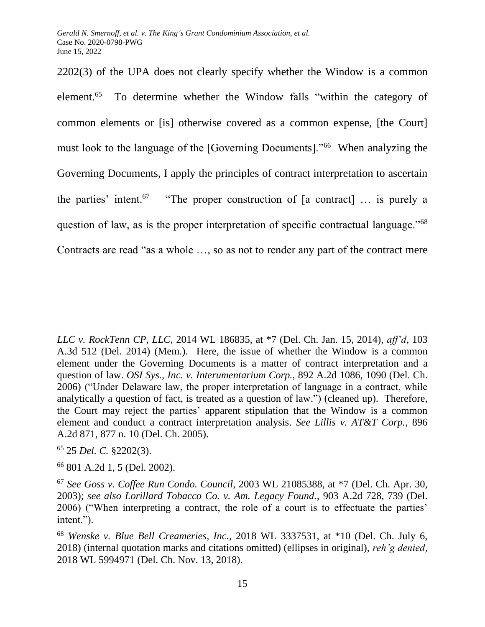2202(3) of the UPA does not clearly specify whether the Window is a common element.<sup>65</sup> To determine whether the Window falls "within the category of common elements or [is] otherwise covered as a common expense, [the Court] must look to the language of the [Governing Documents]."<sup>66</sup> When analyzing the Governing Documents, I apply the principles of contract interpretation to ascertain the parties' intent.<sup>67</sup> "The proper construction of [a contract] ... is purely a question of law, as is the proper interpretation of specific contractual language."<sup>68</sup> Contracts are read "as a whole …, so as not to render any part of the contract mere

<sup>65</sup> 25 *Del. C.* §2202(3).

<sup>66</sup> 801 A.2d 1, 5 (Del. 2002).

*LLC v. RockTenn CP, LLC*, 2014 WL 186835, at \*7 (Del. Ch. Jan. 15, 2014), *aff'd*, 103 A.3d 512 (Del. 2014) (Mem.). Here, the issue of whether the Window is a common element under the Governing Documents is a matter of contract interpretation and a question of law. *OSI Sys., Inc. v. Interumentarium Corp.*, 892 A.2d 1086, 1090 (Del. Ch. 2006) ("Under Delaware law, the proper interpretation of language in a contract, while analytically a question of fact, is treated as a question of law.") (cleaned up). Therefore, the Court may reject the parties' apparent stipulation that the Window is a common element and conduct a contract interpretation analysis. *See Lillis v. AT&T Corp.*, 896 A.2d 871, 877 n. 10 (Del. Ch. 2005).

<sup>67</sup> *See Goss v. Coffee Run Condo. Council*, 2003 WL 21085388, at \*7 (Del. Ch. Apr. 30, 2003); *see also Lorillard Tobacco Co. v. Am. Legacy Found.*, 903 A.2d 728, 739 (Del. 2006) ("When interpreting a contract, the role of a court is to effectuate the parties' intent.").

<sup>68</sup> *Wenske v. Blue Bell Creameries, Inc.*, 2018 WL 3337531, at \*10 (Del. Ch. July 6, 2018) (internal quotation marks and citations omitted) (ellipses in original), *reh'g denied,* 2018 WL 5994971 (Del. Ch. Nov. 13, 2018).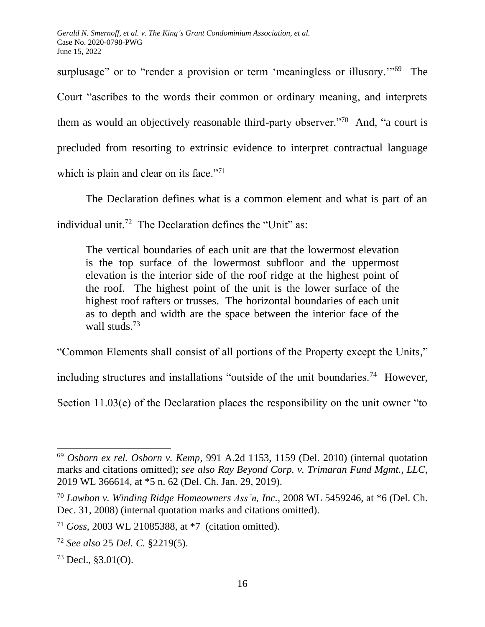surplusage" or to "render a provision or term 'meaningless or illusory."<sup>69</sup> The Court "ascribes to the words their common or ordinary meaning, and interprets them as would an objectively reasonable third-party observer."<sup>70</sup> And, "a court is precluded from resorting to extrinsic evidence to interpret contractual language which is plain and clear on its face." $71$ 

The Declaration defines what is a common element and what is part of an

individual unit.<sup>72</sup> The Declaration defines the "Unit" as:

The vertical boundaries of each unit are that the lowermost elevation is the top surface of the lowermost subfloor and the uppermost elevation is the interior side of the roof ridge at the highest point of the roof. The highest point of the unit is the lower surface of the highest roof rafters or trusses. The horizontal boundaries of each unit as to depth and width are the space between the interior face of the wall studs.<sup>73</sup>

"Common Elements shall consist of all portions of the Property except the Units,"

including structures and installations "outside of the unit boundaries.<sup>74</sup> However,

Section 11.03(e) of the Declaration places the responsibility on the unit owner "to

<sup>69</sup> *Osborn ex rel. Osborn v. Kemp*, 991 A.2d 1153, 1159 (Del. 2010) (internal quotation marks and citations omitted); *see also Ray Beyond Corp. v. Trimaran Fund Mgmt., LLC*, 2019 WL 366614, at \*5 n. 62 (Del. Ch. Jan. 29, 2019).

<sup>70</sup> *Lawhon v. Winding Ridge Homeowners Ass'n, Inc.,* 2008 WL 5459246, at \*6 (Del. Ch. Dec. 31, 2008) (internal quotation marks and citations omitted).

<sup>71</sup> *Goss*, 2003 WL 21085388, at \*7 (citation omitted).

<sup>72</sup> *See also* 25 *Del. C.* §2219(5).

 $73$  Decl.,  $$3.01(O)$ .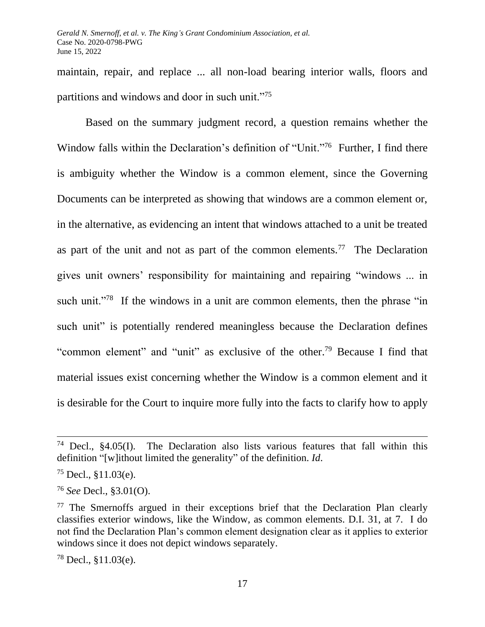maintain, repair, and replace ... all non-load bearing interior walls, floors and partitions and windows and door in such unit."<sup>75</sup>

Based on the summary judgment record, a question remains whether the Window falls within the Declaration's definition of "Unit."<sup>76</sup> Further, I find there is ambiguity whether the Window is a common element, since the Governing Documents can be interpreted as showing that windows are a common element or, in the alternative, as evidencing an intent that windows attached to a unit be treated as part of the unit and not as part of the common elements.<sup>77</sup> The Declaration gives unit owners' responsibility for maintaining and repairing "windows ... in such unit."<sup>78</sup> If the windows in a unit are common elements, then the phrase "in such unit" is potentially rendered meaningless because the Declaration defines "common element" and "unit" as exclusive of the other.<sup>79</sup> Because I find that material issues exist concerning whether the Window is a common element and it is desirable for the Court to inquire more fully into the facts to clarify how to apply

<sup>78</sup> Decl., §11.03(e).

<sup>&</sup>lt;sup>74</sup> Decl.,  $§4.05(I)$ . The Declaration also lists various features that fall within this definition "[w]ithout limited the generality" of the definition. *Id*.

<sup>75</sup> Decl., §11.03(e).

<sup>76</sup> *See* Decl., §3.01(O).

 $77$  The Smernoffs argued in their exceptions brief that the Declaration Plan clearly classifies exterior windows, like the Window, as common elements. D.I. 31, at 7. I do not find the Declaration Plan's common element designation clear as it applies to exterior windows since it does not depict windows separately.